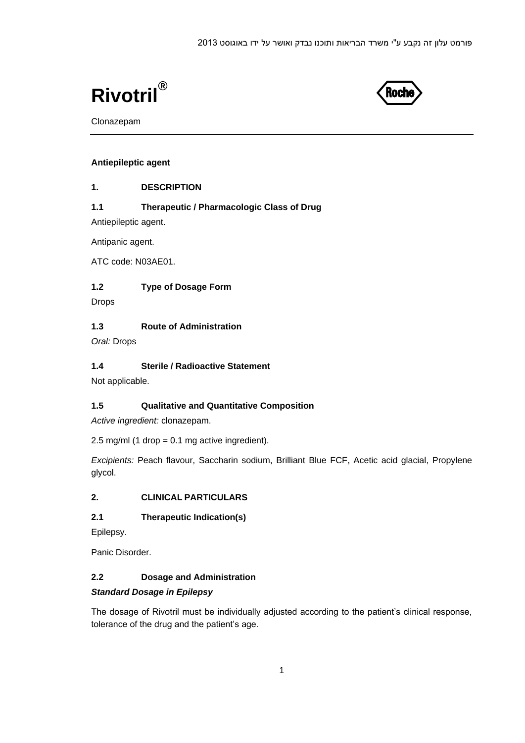



Clonazepam

## **Antiepileptic agent**

#### **1. DESCRIPTION**

# **1.1 Therapeutic / Pharmacologic Class of Drug**

Antiepileptic agent.

Antipanic agent.

ATC code: N03AE01.

## **1.2 Type of Dosage Form**

Drops

## **1.3 Route of Administration**

*Oral:* Drops

## **1.4 Sterile / Radioactive Statement**

Not applicable.

## **1.5 Qualitative and Quantitative Composition**

*Active ingredient:* clonazepam.

2.5 mg/ml (1 drop =  $0.1$  mg active ingredient).

*Excipients:* Peach flavour, Saccharin sodium, Brilliant Blue FCF, Acetic acid glacial, Propylene glycol.

## **2. CLINICAL PARTICULARS**

## **2.1 Therapeutic Indication(s)**

Epilepsy.

Panic Disorder.

# **2.2 Dosage and Administration**

## *Standard Dosage in Epilepsy*

The dosage of Rivotril must be individually adjusted according to the patient's clinical response, tolerance of the drug and the patient's age.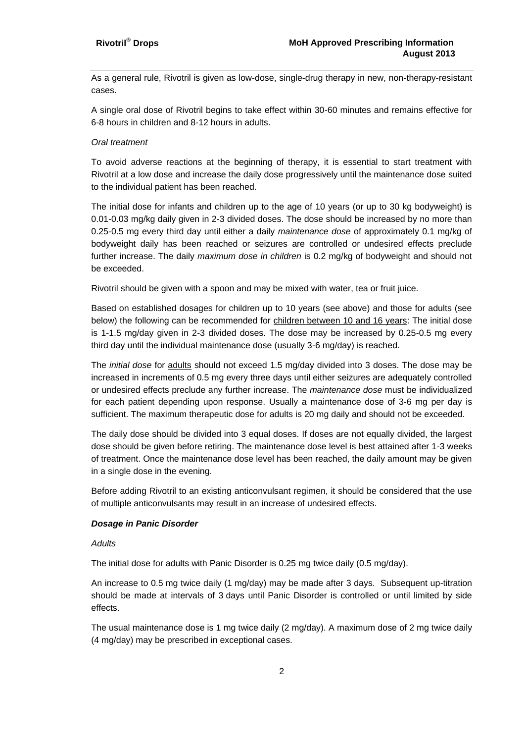As a general rule, Rivotril is given as low-dose, single-drug therapy in new, non-therapy-resistant cases.

A single oral dose of Rivotril begins to take effect within 30-60 minutes and remains effective for 6-8 hours in children and 8-12 hours in adults.

#### *Oral treatment*

To avoid adverse reactions at the beginning of therapy, it is essential to start treatment with Rivotril at a low dose and increase the daily dose progressively until the maintenance dose suited to the individual patient has been reached.

The initial dose for infants and children up to the age of 10 years (or up to 30 kg bodyweight) is 0.01-0.03 mg/kg daily given in 2-3 divided doses. The dose should be increased by no more than 0.25-0.5 mg every third day until either a daily *maintenance dose* of approximately 0.1 mg/kg of bodyweight daily has been reached or seizures are controlled or undesired effects preclude further increase. The daily *maximum dose in children* is 0.2 mg/kg of bodyweight and should not be exceeded.

Rivotril should be given with a spoon and may be mixed with water, tea or fruit juice.

Based on established dosages for children up to 10 years (see above) and those for adults (see below) the following can be recommended for children between 10 and 16 years: The initial dose is 1-1.5 mg/day given in 2-3 divided doses. The dose may be increased by 0.25-0.5 mg every third day until the individual maintenance dose (usually 3-6 mg/day) is reached.

The *initial dose* for adults should not exceed 1.5 mg/day divided into 3 doses. The dose may be increased in increments of 0.5 mg every three days until either seizures are adequately controlled or undesired effects preclude any further increase. The *maintenance dose* must be individualized for each patient depending upon response. Usually a maintenance dose of 3-6 mg per day is sufficient. The maximum therapeutic dose for adults is 20 mg daily and should not be exceeded.

The daily dose should be divided into 3 equal doses. If doses are not equally divided, the largest dose should be given before retiring. The maintenance dose level is best attained after 1-3 weeks of treatment. Once the maintenance dose level has been reached, the daily amount may be given in a single dose in the evening.

Before adding Rivotril to an existing anticonvulsant regimen, it should be considered that the use of multiple anticonvulsants may result in an increase of undesired effects.

#### *Dosage in Panic Disorder*

#### *Adults*

The initial dose for adults with Panic Disorder is 0.25 mg twice daily (0.5 mg/day).

An increase to 0.5 mg twice daily (1 mg/day) may be made after 3 days. Subsequent up-titration should be made at intervals of 3 days until Panic Disorder is controlled or until limited by side effects.

The usual maintenance dose is 1 mg twice daily (2 mg/day). A maximum dose of 2 mg twice daily (4 mg/day) may be prescribed in exceptional cases.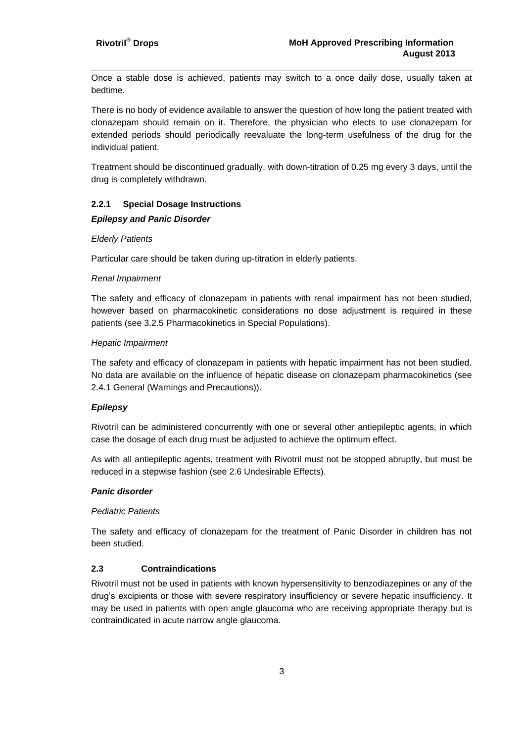Once a stable dose is achieved, patients may switch to a once daily dose, usually taken at bedtime.

There is no body of evidence available to answer the question of how long the patient treated with clonazepam should remain on it. Therefore, the physician who elects to use clonazepam for extended periods should periodically reevaluate the long-term usefulness of the drug for the individual patient.

Treatment should be discontinued gradually, with down-titration of 0.25 mg every 3 days, until the drug is completely withdrawn.

#### **2.2.1 Special Dosage Instructions**

#### *Epilepsy and Panic Disorder*

#### *Elderly Patients*

Particular care should be taken during up-titration in elderly patients.

#### *Renal Impairment*

The safety and efficacy of clonazepam in patients with renal impairment has not been studied, however based on pharmacokinetic considerations no dose adjustment is required in these patients (see 3.2.5 Pharmacokinetics in Special Populations).

#### *Hepatic Impairment*

The safety and efficacy of clonazepam in patients with hepatic impairment has not been studied. No data are available on the influence of hepatic disease on clonazepam pharmacokinetics (see 2.4.1 General (Warnings and Precautions)).

## *Epilepsy*

Rivotril can be administered concurrently with one or several other antiepileptic agents, in which case the dosage of each drug must be adjusted to achieve the optimum effect.

As with all antiepileptic agents, treatment with Rivotril must not be stopped abruptly, but must be reduced in a stepwise fashion (see 2.6 Undesirable Effects).

#### *Panic disorder*

#### *Pediatric Patients*

The safety and efficacy of clonazepam for the treatment of Panic Disorder in children has not been studied.

## **2.3 Contraindications**

Rivotril must not be used in patients with known hypersensitivity to benzodiazepines or any of the drug's excipients or those with severe respiratory insufficiency or severe hepatic insufficiency. It may be used in patients with open angle glaucoma who are receiving appropriate therapy but is contraindicated in acute narrow angle glaucoma.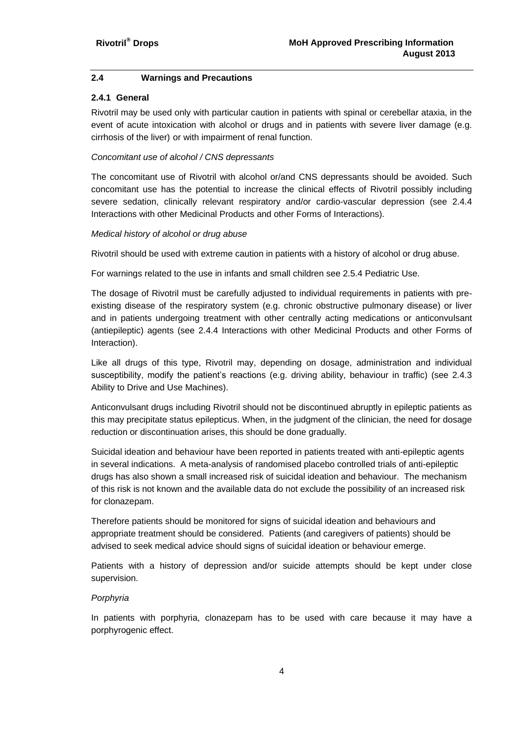### **2.4 Warnings and Precautions**

#### **2.4.1 General**

Rivotril may be used only with particular caution in patients with spinal or cerebellar ataxia, in the event of acute intoxication with alcohol or drugs and in patients with severe liver damage (e.g. cirrhosis of the liver) or with impairment of renal function.

#### *Concomitant use of alcohol / CNS depressants*

The concomitant use of Rivotril with alcohol or/and CNS depressants should be avoided. Such concomitant use has the potential to increase the clinical effects of Rivotril possibly including severe sedation, clinically relevant respiratory and/or cardio-vascular depression (see 2.4.4 Interactions with other Medicinal Products and other Forms of Interactions).

#### *Medical history of alcohol or drug abuse*

Rivotril should be used with extreme caution in patients with a history of alcohol or drug abuse.

For warnings related to the use in infants and small children see 2.5.4 Pediatric Use.

The dosage of Rivotril must be carefully adjusted to individual requirements in patients with preexisting disease of the respiratory system (e.g. chronic obstructive pulmonary disease) or liver and in patients undergoing treatment with other centrally acting medications or anticonvulsant (antiepileptic) agents (see 2.4.4 Interactions with other Medicinal Products and other Forms of Interaction).

Like all drugs of this type, Rivotril may, depending on dosage, administration and individual susceptibility, modify the patient's reactions (e.g. driving ability, behaviour in traffic) (see 2.4.3 Ability to Drive and Use Machines).

Anticonvulsant drugs including Rivotril should not be discontinued abruptly in epileptic patients as this may precipitate status epilepticus. When, in the judgment of the clinician, the need for dosage reduction or discontinuation arises, this should be done gradually.

Suicidal ideation and behaviour have been reported in patients treated with anti-epileptic agents in several indications. A meta-analysis of randomised placebo controlled trials of anti-epileptic drugs has also shown a small increased risk of suicidal ideation and behaviour. The mechanism of this risk is not known and the available data do not exclude the possibility of an increased risk for clonazepam.

Therefore patients should be monitored for signs of suicidal ideation and behaviours and appropriate treatment should be considered. Patients (and caregivers of patients) should be advised to seek medical advice should signs of suicidal ideation or behaviour emerge.

Patients with a history of depression and/or suicide attempts should be kept under close supervision.

## *Porphyria*

In patients with porphyria, clonazepam has to be used with care because it may have a porphyrogenic effect.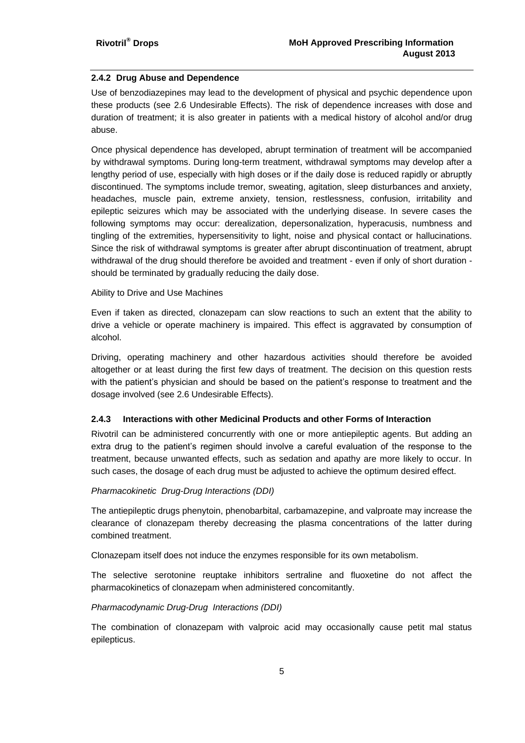### **2.4.2 Drug Abuse and Dependence**

Use of benzodiazepines may lead to the development of physical and psychic dependence upon these products (see 2.6 Undesirable Effects). The risk of dependence increases with dose and duration of treatment; it is also greater in patients with a medical history of alcohol and/or drug abuse.

Once physical dependence has developed, abrupt termination of treatment will be accompanied by withdrawal symptoms. During long-term treatment, withdrawal symptoms may develop after a lengthy period of use, especially with high doses or if the daily dose is reduced rapidly or abruptly discontinued. The symptoms include tremor, sweating, agitation, sleep disturbances and anxiety, headaches, muscle pain, extreme anxiety, tension, restlessness, confusion, irritability and epileptic seizures which may be associated with the underlying disease. In severe cases the following symptoms may occur: derealization, depersonalization, hyperacusis, numbness and tingling of the extremities, hypersensitivity to light, noise and physical contact or hallucinations. Since the risk of withdrawal symptoms is greater after abrupt discontinuation of treatment, abrupt withdrawal of the drug should therefore be avoided and treatment - even if only of short duration should be terminated by gradually reducing the daily dose.

#### Ability to Drive and Use Machines

Even if taken as directed, clonazepam can slow reactions to such an extent that the ability to drive a vehicle or operate machinery is impaired. This effect is aggravated by consumption of alcohol.

Driving, operating machinery and other hazardous activities should therefore be avoided altogether or at least during the first few days of treatment. The decision on this question rests with the patient's physician and should be based on the patient's response to treatment and the dosage involved (see 2.6 Undesirable Effects).

#### **2.4.3 Interactions with other Medicinal Products and other Forms of Interaction**

Rivotril can be administered concurrently with one or more antiepileptic agents. But adding an extra drug to the patient's regimen should involve a careful evaluation of the response to the treatment, because unwanted effects, such as sedation and apathy are more likely to occur. In such cases, the dosage of each drug must be adjusted to achieve the optimum desired effect.

#### *Pharmacokinetic Drug-Drug Interactions (DDI)*

The antiepileptic drugs phenytoin, phenobarbital, carbamazepine, and valproate may increase the clearance of clonazepam thereby decreasing the plasma concentrations of the latter during combined treatment.

Clonazepam itself does not induce the enzymes responsible for its own metabolism.

The selective serotonine reuptake inhibitors sertraline and fluoxetine do not affect the pharmacokinetics of clonazepam when administered concomitantly.

#### *Pharmacodynamic Drug-Drug Interactions (DDI)*

The combination of clonazepam with valproic acid may occasionally cause petit mal status epilepticus.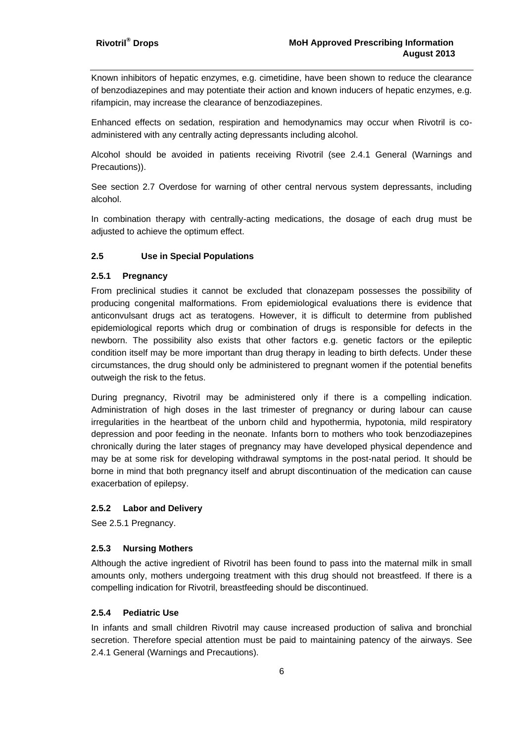Known inhibitors of hepatic enzymes, e.g. cimetidine, have been shown to reduce the clearance of benzodiazepines and may potentiate their action and known inducers of hepatic enzymes, e.g. rifampicin, may increase the clearance of benzodiazepines.

Enhanced effects on sedation, respiration and hemodynamics may occur when Rivotril is coadministered with any centrally acting depressants including alcohol.

Alcohol should be avoided in patients receiving Rivotril (see 2.4.1 General (Warnings and Precautions)).

See section 2.7 Overdose for warning of other central nervous system depressants, including alcohol.

In combination therapy with centrally-acting medications, the dosage of each drug must be adjusted to achieve the optimum effect.

## **2.5 Use in Special Populations**

#### **2.5.1 Pregnancy**

From preclinical studies it cannot be excluded that clonazepam possesses the possibility of producing congenital malformations. From epidemiological evaluations there is evidence that anticonvulsant drugs act as teratogens. However, it is difficult to determine from published epidemiological reports which drug or combination of drugs is responsible for defects in the newborn. The possibility also exists that other factors e.g. genetic factors or the epileptic condition itself may be more important than drug therapy in leading to birth defects. Under these circumstances, the drug should only be administered to pregnant women if the potential benefits outweigh the risk to the fetus.

During pregnancy, Rivotril may be administered only if there is a compelling indication. Administration of high doses in the last trimester of pregnancy or during labour can cause irregularities in the heartbeat of the unborn child and hypothermia, hypotonia, mild respiratory depression and poor feeding in the neonate. Infants born to mothers who took benzodiazepines chronically during the later stages of pregnancy may have developed physical dependence and may be at some risk for developing withdrawal symptoms in the post-natal period. It should be borne in mind that both pregnancy itself and abrupt discontinuation of the medication can cause exacerbation of epilepsy.

#### **2.5.2 Labor and Delivery**

See 2.5.1 Pregnancy.

#### **2.5.3 Nursing Mothers**

Although the active ingredient of Rivotril has been found to pass into the maternal milk in small amounts only, mothers undergoing treatment with this drug should not breastfeed. If there is a compelling indication for Rivotril, breastfeeding should be discontinued.

### **2.5.4 Pediatric Use**

In infants and small children Rivotril may cause increased production of saliva and bronchial secretion. Therefore special attention must be paid to maintaining patency of the airways. See 2.4.1 General (Warnings and Precautions).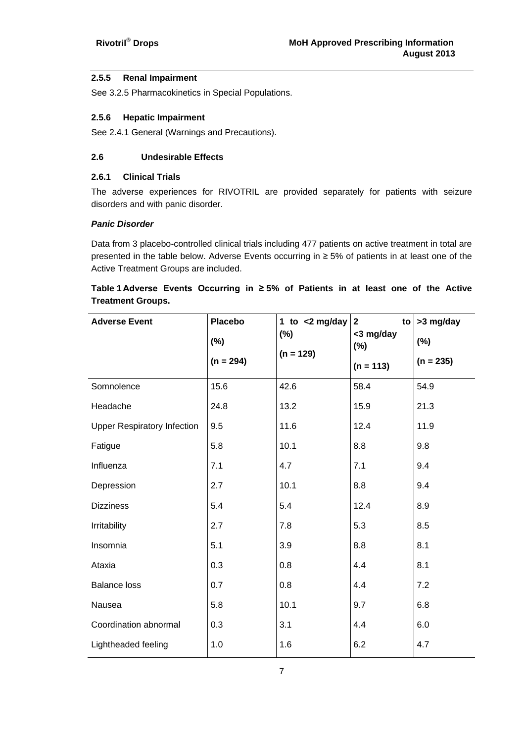## **2.5.5 Renal Impairment**

See 3.2.5 Pharmacokinetics in Special Populations.

### **2.5.6 Hepatic Impairment**

See 2.4.1 General (Warnings and Precautions).

### **2.6 Undesirable Effects**

#### **2.6.1 Clinical Trials**

The adverse experiences for RIVOTRIL are provided separately for patients with seizure disorders and with panic disorder.

#### *Panic Disorder*

Data from 3 placebo-controlled clinical trials including 477 patients on active treatment in total are presented in the table below. Adverse Events occurring in ≥ 5% of patients in at least one of the Active Treatment Groups are included.

# **Table 1 Adverse Events Occurring in ≥ 5% of Patients in at least one of the Active Treatment Groups.**

| <b>Adverse Event</b>               | <b>Placebo</b><br>$(\%)$ | 1 to $<$ 2 mg/day<br>$(\%)$ | $\mathbf{2}$<br>to<br><3 mg/day<br>$(\%)$ | >3 mg/day<br>$(\%)$ |
|------------------------------------|--------------------------|-----------------------------|-------------------------------------------|---------------------|
|                                    | $(n = 294)$              | $(n = 129)$                 | $(n = 113)$                               | $(n = 235)$         |
| Somnolence                         | 15.6                     | 42.6                        | 58.4                                      | 54.9                |
| Headache                           | 24.8                     | 13.2                        | 15.9                                      | 21.3                |
| <b>Upper Respiratory Infection</b> | 9.5                      | 11.6                        | 12.4                                      | 11.9                |
| Fatigue                            | 5.8                      | 10.1                        | 8.8                                       | 9.8                 |
| Influenza                          | 7.1                      | 4.7                         | 7.1                                       | 9.4                 |
| Depression                         | 2.7                      | 10.1                        | 8.8                                       | 9.4                 |
| <b>Dizziness</b>                   | 5.4                      | 5.4                         | 12.4                                      | 8.9                 |
| Irritability                       | 2.7                      | 7.8                         | 5.3                                       | 8.5                 |
| Insomnia                           | 5.1                      | 3.9                         | 8.8                                       | 8.1                 |
| Ataxia                             | 0.3                      | 0.8                         | 4.4                                       | 8.1                 |
| <b>Balance loss</b>                | 0.7                      | 0.8                         | 4.4                                       | 7.2                 |
| Nausea                             | 5.8                      | 10.1                        | 9.7                                       | 6.8                 |
| Coordination abnormal              | 0.3                      | 3.1                         | 4.4                                       | 6.0                 |
| Lightheaded feeling                | 1.0                      | 1.6                         | 6.2                                       | 4.7                 |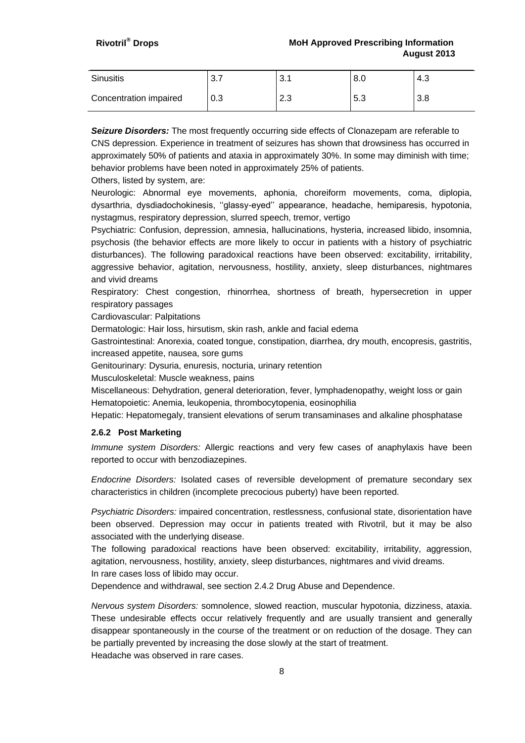| <b>Sinusitis</b>       | 3.7 | ົາ 4<br>J.I | 8.0 | 4.3 |
|------------------------|-----|-------------|-----|-----|
| Concentration impaired | 0.3 | റാ<br>ن.ء   | 5.3 | 3.8 |

*Seizure Disorders:* The most frequently occurring side effects of Clonazepam are referable to CNS depression. Experience in treatment of seizures has shown that drowsiness has occurred in approximately 50% of patients and ataxia in approximately 30%. In some may diminish with time; behavior problems have been noted in approximately 25% of patients.

Others, listed by system, are:

Neurologic: Abnormal eye movements, aphonia, choreiform movements, coma, diplopia, dysarthria, dysdiadochokinesis, ''glassy-eyed'' appearance, headache, hemiparesis, hypotonia, nystagmus, respiratory depression, slurred speech, tremor, vertigo

Psychiatric: Confusion, depression, amnesia, hallucinations, hysteria, increased libido, insomnia, psychosis (the behavior effects are more likely to occur in patients with a history of psychiatric disturbances). The following paradoxical reactions have been observed: excitability, irritability, aggressive behavior, agitation, nervousness, hostility, anxiety, sleep disturbances, nightmares and vivid dreams

Respiratory: Chest congestion, rhinorrhea, shortness of breath, hypersecretion in upper respiratory passages

Cardiovascular: Palpitations

Dermatologic: Hair loss, hirsutism, skin rash, ankle and facial edema

Gastrointestinal: Anorexia, coated tongue, constipation, diarrhea, dry mouth, encopresis, gastritis, increased appetite, nausea, sore gums

Genitourinary: Dysuria, enuresis, nocturia, urinary retention

Musculoskeletal: Muscle weakness, pains

Miscellaneous: Dehydration, general deterioration, fever, lymphadenopathy, weight loss or gain Hematopoietic: Anemia, leukopenia, thrombocytopenia, eosinophilia

Hepatic: Hepatomegaly, transient elevations of serum transaminases and alkaline phosphatase

#### **2.6.2 Post Marketing**

*Immune system Disorders:* Allergic reactions and very few cases of anaphylaxis have been reported to occur with benzodiazepines.

*Endocrine Disorders:* Isolated cases of reversible development of premature secondary sex characteristics in children (incomplete precocious puberty) have been reported.

*Psychiatric Disorders:* impaired concentration, restlessness, confusional state, disorientation have been observed. Depression may occur in patients treated with Rivotril, but it may be also associated with the underlying disease.

The following paradoxical reactions have been observed: excitability, irritability, aggression, agitation, nervousness, hostility, anxiety, sleep disturbances, nightmares and vivid dreams.

In rare cases loss of libido may occur.

Dependence and withdrawal, see section 2.4.2 Drug Abuse and Dependence.

*Nervous system Disorders:* somnolence, slowed reaction, muscular hypotonia, dizziness, ataxia. These undesirable effects occur relatively frequently and are usually transient and generally disappear spontaneously in the course of the treatment or on reduction of the dosage. They can be partially prevented by increasing the dose slowly at the start of treatment. Headache was observed in rare cases.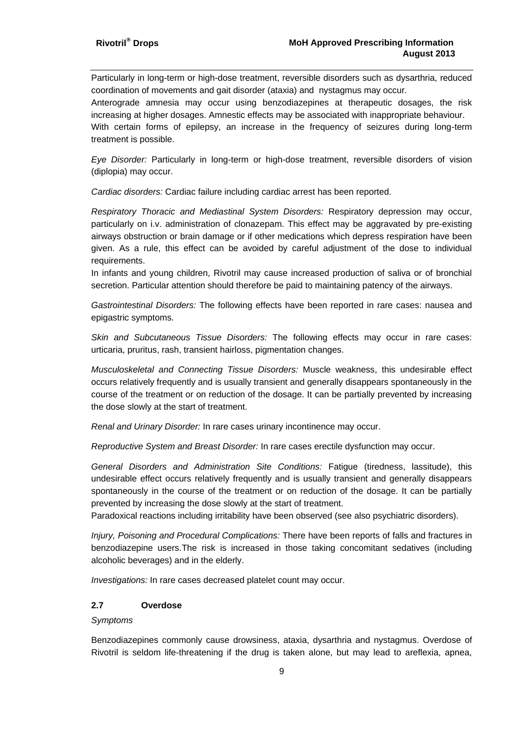Particularly in long-term or high-dose treatment, reversible disorders such as dysarthria, reduced coordination of movements and gait disorder (ataxia) and nystagmus may occur.

Anterograde amnesia may occur using benzodiazepines at therapeutic dosages, the risk increasing at higher dosages. Amnestic effects may be associated with inappropriate behaviour.

With certain forms of epilepsy, an increase in the frequency of seizures during long-term treatment is possible.

*Eye Disorder:* Particularly in long-term or high-dose treatment, reversible disorders of vision (diplopia) may occur.

*Cardiac disorders:* Cardiac failure including cardiac arrest has been reported.

*Respiratory Thoracic and Mediastinal System Disorders:* Respiratory depression may occur, particularly on i.v. administration of clonazepam. This effect may be aggravated by pre-existing airways obstruction or brain damage or if other medications which depress respiration have been given. As a rule, this effect can be avoided by careful adjustment of the dose to individual requirements.

In infants and young children, Rivotril may cause increased production of saliva or of bronchial secretion. Particular attention should therefore be paid to maintaining patency of the airways.

*Gastrointestinal Disorders:* The following effects have been reported in rare cases: nausea and epigastric symptoms.

*Skin and Subcutaneous Tissue Disorders:* The following effects may occur in rare cases: urticaria, pruritus, rash, transient hairloss, pigmentation changes.

*Musculoskeletal and Connecting Tissue Disorders:* Muscle weakness, this undesirable effect occurs relatively frequently and is usually transient and generally disappears spontaneously in the course of the treatment or on reduction of the dosage. It can be partially prevented by increasing the dose slowly at the start of treatment.

*Renal and Urinary Disorder:* In rare cases urinary incontinence may occur.

*Reproductive System and Breast Disorder:* In rare cases erectile dysfunction may occur.

*General Disorders and Administration Site Conditions:* Fatigue (tiredness, lassitude), this undesirable effect occurs relatively frequently and is usually transient and generally disappears spontaneously in the course of the treatment or on reduction of the dosage. It can be partially prevented by increasing the dose slowly at the start of treatment.

Paradoxical reactions including irritability have been observed (see also psychiatric disorders).

*Injury, Poisoning and Procedural Complications:* There have been reports of falls and fractures in benzodiazepine users.The risk is increased in those taking concomitant sedatives (including alcoholic beverages) and in the elderly.

*Investigations:* In rare cases decreased platelet count may occur.

#### **2.7 Overdose**

#### *Symptoms*

Benzodiazepines commonly cause drowsiness, ataxia, dysarthria and nystagmus. Overdose of Rivotril is seldom life-threatening if the drug is taken alone, but may lead to areflexia, apnea,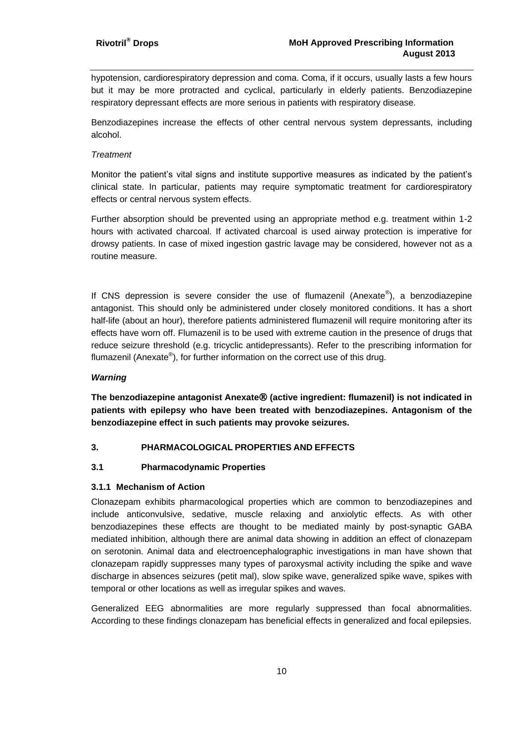hypotension, cardiorespiratory depression and coma. Coma, if it occurs, usually lasts a few hours but it may be more protracted and cyclical, particularly in elderly patients. Benzodiazepine respiratory depressant effects are more serious in patients with respiratory disease.

Benzodiazepines increase the effects of other central nervous system depressants, including alcohol.

#### *Treatment*

Monitor the patient's vital signs and institute supportive measures as indicated by the patient's clinical state. In particular, patients may require symptomatic treatment for cardiorespiratory effects or central nervous system effects.

Further absorption should be prevented using an appropriate method e.g. treatment within 1-2 hours with activated charcoal. If activated charcoal is used airway protection is imperative for drowsy patients. In case of mixed ingestion gastric lavage may be considered, however not as a routine measure.

If CNS depression is severe consider the use of flumazenil (Anexate®), a benzodiazepine antagonist. This should only be administered under closely monitored conditions. It has a short half-life (about an hour), therefore patients administered flumazenil will require monitoring after its effects have worn off. Flumazenil is to be used with extreme caution in the presence of drugs that reduce seizure threshold (e.g. tricyclic antidepressants). Refer to the prescribing information for flumazenil (Anexate®), for further information on the correct use of this drug.

#### *Warning*

**The benzodiazepine antagonist Anexate (active ingredient: flumazenil) is not indicated in patients with epilepsy who have been treated with benzodiazepines. Antagonism of the benzodiazepine effect in such patients may provoke seizures.**

#### **3. PHARMACOLOGICAL PROPERTIES AND EFFECTS**

#### **3.1 Pharmacodynamic Properties**

#### **3.1.1 Mechanism of Action**

Clonazepam exhibits pharmacological properties which are common to benzodiazepines and include anticonvulsive, sedative, muscle relaxing and anxiolytic effects. As with other benzodiazepines these effects are thought to be mediated mainly by post-synaptic GABA mediated inhibition, although there are animal data showing in addition an effect of clonazepam on serotonin. Animal data and electroencephalographic investigations in man have shown that clonazepam rapidly suppresses many types of paroxysmal activity including the spike and wave discharge in absences seizures (petit mal), slow spike wave, generalized spike wave, spikes with temporal or other locations as well as irregular spikes and waves.

Generalized EEG abnormalities are more regularly suppressed than focal abnormalities. According to these findings clonazepam has beneficial effects in generalized and focal epilepsies.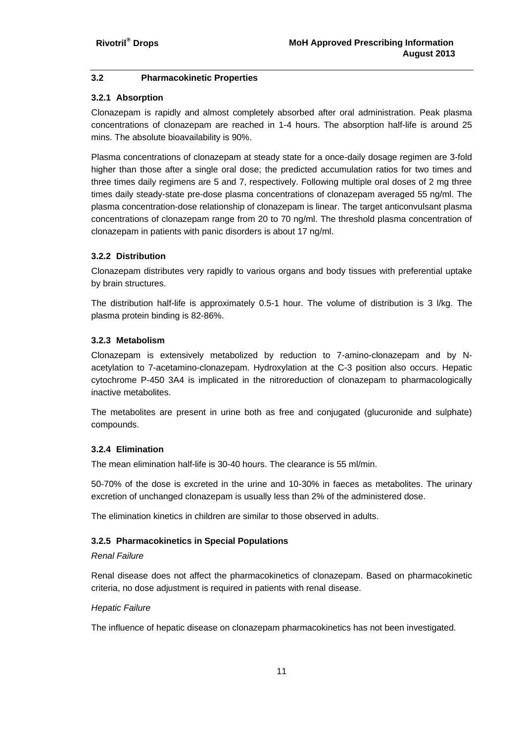## **3.2 Pharmacokinetic Properties**

## **3.2.1 Absorption**

Clonazepam is rapidly and almost completely absorbed after oral administration. Peak plasma concentrations of clonazepam are reached in 1-4 hours. The absorption half-life is around 25 mins. The absolute bioavailability is 90%.

Plasma concentrations of clonazepam at steady state for a once-daily dosage regimen are 3-fold higher than those after a single oral dose; the predicted accumulation ratios for two times and three times daily regimens are 5 and 7, respectively. Following multiple oral doses of 2 mg three times daily steady-state pre-dose plasma concentrations of clonazepam averaged 55 ng/ml. The plasma concentration-dose relationship of clonazepam is linear. The target anticonvulsant plasma concentrations of clonazepam range from 20 to 70 ng/ml. The threshold plasma concentration of clonazepam in patients with panic disorders is about 17 ng/ml.

## **3.2.2 Distribution**

Clonazepam distributes very rapidly to various organs and body tissues with preferential uptake by brain structures.

The distribution half-life is approximately 0.5-1 hour. The volume of distribution is 3 l/kg. The plasma protein binding is 82-86%.

## **3.2.3 Metabolism**

Clonazepam is extensively metabolized by reduction to 7-amino-clonazepam and by Nacetylation to 7-acetamino-clonazepam. Hydroxylation at the C-3 position also occurs. Hepatic cytochrome P-450 3A4 is implicated in the nitroreduction of clonazepam to pharmacologically inactive metabolites.

The metabolites are present in urine both as free and conjugated (glucuronide and sulphate) compounds.

## **3.2.4 Elimination**

The mean elimination half-life is 30-40 hours. The clearance is 55 ml/min.

50-70% of the dose is excreted in the urine and 10-30% in faeces as metabolites. The urinary excretion of unchanged clonazepam is usually less than 2% of the administered dose.

The elimination kinetics in children are similar to those observed in adults.

## **3.2.5 Pharmacokinetics in Special Populations**

## *Renal Failure*

Renal disease does not affect the pharmacokinetics of clonazepam. Based on pharmacokinetic criteria, no dose adjustment is required in patients with renal disease.

## *Hepatic Failure*

The influence of hepatic disease on clonazepam pharmacokinetics has not been investigated.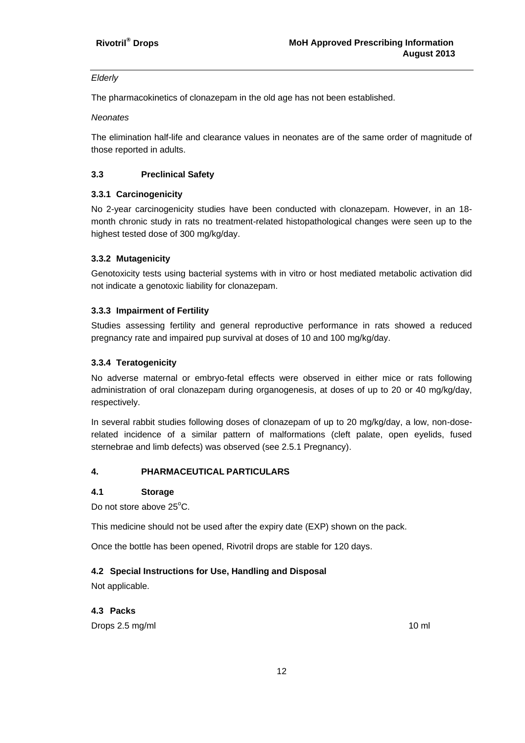#### *Elderly*

The pharmacokinetics of clonazepam in the old age has not been established.

*Neonates*

The elimination half-life and clearance values in neonates are of the same order of magnitude of those reported in adults.

## **3.3 Preclinical Safety**

## **3.3.1 Carcinogenicity**

No 2-year carcinogenicity studies have been conducted with clonazepam. However, in an 18 month chronic study in rats no treatment-related histopathological changes were seen up to the highest tested dose of 300 mg/kg/day.

## **3.3.2 Mutagenicity**

Genotoxicity tests using bacterial systems with in vitro or host mediated metabolic activation did not indicate a genotoxic liability for clonazepam.

#### **3.3.3 Impairment of Fertility**

Studies assessing fertility and general reproductive performance in rats showed a reduced pregnancy rate and impaired pup survival at doses of 10 and 100 mg/kg/day.

## **3.3.4 Teratogenicity**

No adverse maternal or embryo-fetal effects were observed in either mice or rats following administration of oral clonazepam during organogenesis, at doses of up to 20 or 40 mg/kg/day, respectively.

In several rabbit studies following doses of clonazepam of up to 20 mg/kg/day, a low, non-doserelated incidence of a similar pattern of malformations (cleft palate, open eyelids, fused sternebrae and limb defects) was observed (see 2.5.1 Pregnancy).

## **4. PHARMACEUTICAL PARTICULARS**

## **4.1 Storage**

Do not store above 25°C.

This medicine should not be used after the expiry date (EXP) shown on the pack.

Once the bottle has been opened, Rivotril drops are stable for 120 days.

## **4.2 Special Instructions for Use, Handling and Disposal**

Not applicable.

## **4.3 Packs**

Drops 2.5 mg/ml 10 ml